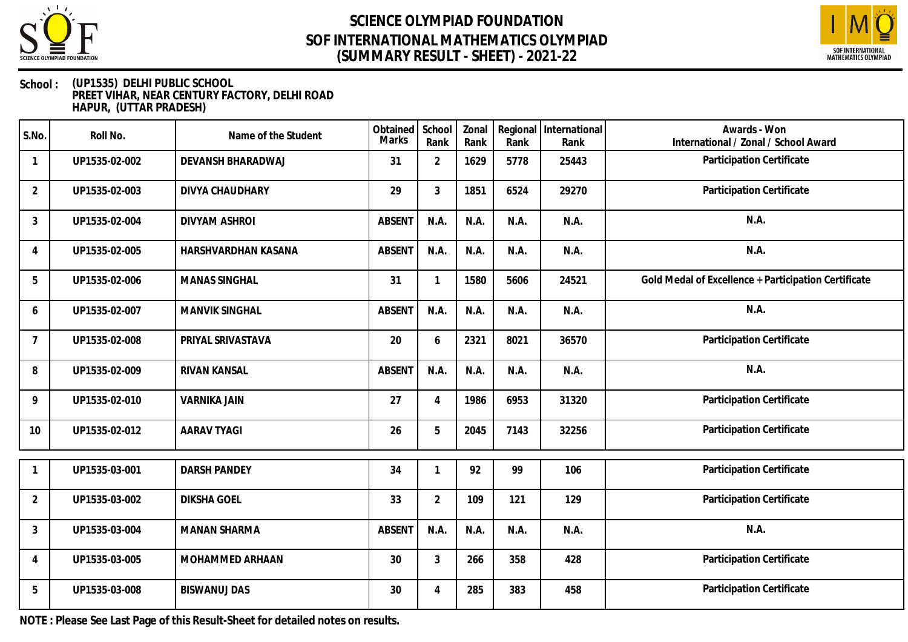



#### **School : (UP1535) DELHI PUBLIC SCHOOL PREET VIHAR, NEAR CENTURY FACTORY, DELHI ROAD HAPUR, (UTTAR PRADESH)**

| S.No.          | Roll No.      | Name of the Student    | Obtained<br>Marks | School<br>Rank | Zonal<br>Rank | Regional<br>Rank | International<br>Rank | Awards - Won<br>International / Zonal / School Award |
|----------------|---------------|------------------------|-------------------|----------------|---------------|------------------|-----------------------|------------------------------------------------------|
| $\mathbf{1}$   | UP1535-02-002 | DEVANSH BHARADWAJ      | 31                | $\overline{2}$ | 1629          | 5778             | 25443                 | Participation Certificate                            |
| $\overline{2}$ | UP1535-02-003 | <b>DIVYA CHAUDHARY</b> | 29                | $\mathfrak{Z}$ | 1851          | 6524             | 29270                 | Participation Certificate                            |
| $\mathfrak{Z}$ | UP1535-02-004 | DIVYAM ASHROI          | <b>ABSENT</b>     | N.A.           | N.A.          | N.A.             | N.A.                  | N.A.                                                 |
| $\overline{4}$ | UP1535-02-005 | HARSHVARDHAN KASANA    | <b>ABSENT</b>     | N.A.           | N.A.          | N.A.             | N.A.                  | N.A.                                                 |
| 5              | UP1535-02-006 | <b>MANAS SINGHAL</b>   | 31                |                | 1580          | 5606             | 24521                 | Gold Medal of Excellence + Participation Certificate |
| 6              | UP1535-02-007 | <b>MANVIK SINGHAL</b>  | <b>ABSENT</b>     | N.A.           | N.A.          | N.A.             | N.A.                  | N.A.                                                 |
| $\overline{7}$ | UP1535-02-008 | PRIYAL SRIVASTAVA      | 20                | 6              | 2321          | 8021             | 36570                 | Participation Certificate                            |
| 8              | UP1535-02-009 | RIVAN KANSAL           | <b>ABSENT</b>     | N.A.           | N.A.          | N.A.             | N.A.                  | N.A.                                                 |
| 9              | UP1535-02-010 | <b>VARNIKA JAIN</b>    | 27                | $\overline{4}$ | 1986          | 6953             | 31320                 | Participation Certificate                            |
| 10             | UP1535-02-012 | <b>AARAV TYAGI</b>     | 26                | 5              | 2045          | 7143             | 32256                 | Participation Certificate                            |
|                | UP1535-03-001 | <b>DARSH PANDEY</b>    | 34                |                | 92            | 99               | 106                   | Participation Certificate                            |
| $\overline{2}$ | UP1535-03-002 | <b>DIKSHA GOEL</b>     | 33                | $\overline{2}$ | 109           | 121              | 129                   | Participation Certificate                            |
| $\mathfrak{Z}$ | UP1535-03-004 | <b>MANAN SHARMA</b>    | <b>ABSENT</b>     | N.A.           | N.A.          | N.A.             | N.A.                  | N.A.                                                 |
| 4              | UP1535-03-005 | MOHAMMED ARHAAN        | 30                | $\mathfrak{Z}$ | 266           | 358              | 428                   | Participation Certificate                            |
| 5              | UP1535-03-008 | <b>BISWANUJ DAS</b>    | 30                | $\overline{A}$ | 285           | 383              | 458                   | Participation Certificate                            |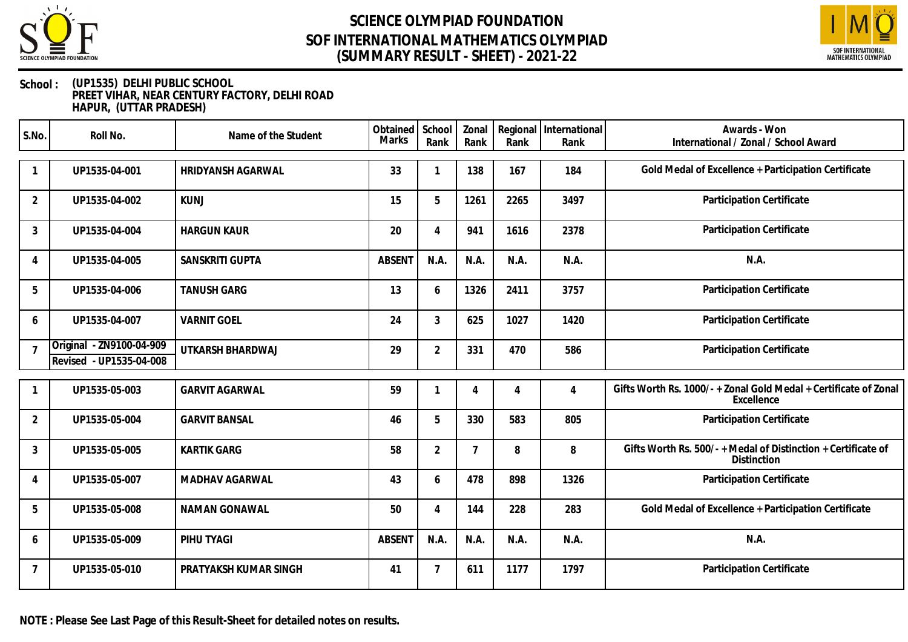



#### **School : (UP1535) DELHI PUBLIC SCHOOL PREET VIHAR, NEAR CENTURY FACTORY, DELHI ROAD HAPUR, (UTTAR PRADESH)**

| S.No.          | Roll No.                                            | Name of the Student   | Obtained<br>Marks | School<br>Rank | Zonal<br>Rank | Rank           | Regional International<br>Rank | Awards - Won<br>International / Zonal / School Award                           |
|----------------|-----------------------------------------------------|-----------------------|-------------------|----------------|---------------|----------------|--------------------------------|--------------------------------------------------------------------------------|
|                | UP1535-04-001                                       | HRIDYANSH AGARWAL     | 33                | 1              | 138           | 167            | 184                            | Gold Medal of Excellence + Participation Certificate                           |
| $\overline{2}$ | UP1535-04-002                                       | <b>KUNJ</b>           | 15                | 5              | 1261          | 2265           | 3497                           | Participation Certificate                                                      |
| 3              | UP1535-04-004                                       | <b>HARGUN KAUR</b>    | 20                | 4              | 941           | 1616           | 2378                           | Participation Certificate                                                      |
| $\overline{4}$ | UP1535-04-005                                       | SANSKRITI GUPTA       | <b>ABSENT</b>     | N.A.           | N.A.          | N.A.           | N.A.                           | N.A.                                                                           |
| 5              | UP1535-04-006                                       | <b>TANUSH GARG</b>    | 13                | 6              | 1326          | 2411           | 3757                           | Participation Certificate                                                      |
| 6              | UP1535-04-007                                       | <b>VARNIT GOEL</b>    | 24                | 3              | 625           | 1027           | 1420                           | Participation Certificate                                                      |
| $\overline{7}$ | Original - ZN9100-04-909<br>Revised - UP1535-04-008 | UTKARSH BHARDWAJ      | 29                | $\overline{2}$ | 331           | 470            | 586                            | Participation Certificate                                                      |
|                | UP1535-05-003                                       | <b>GARVIT AGARWAL</b> | 59                |                | 4             | $\overline{4}$ | 4                              | Gifts Worth Rs. 1000/- + Zonal Gold Medal + Certificate of Zonal<br>Excellence |
| $\overline{2}$ | UP1535-05-004                                       | <b>GARVIT BANSAL</b>  | 46                | 5              | 330           | 583            | 805                            | Participation Certificate                                                      |
| 3              | UP1535-05-005                                       | <b>KARTIK GARG</b>    | 58                | $\overline{2}$ | 7             | 8              | 8                              | Gifts Worth Rs. 500/- + Medal of Distinction + Certificate of<br>Distinction   |
| 4              | UP1535-05-007                                       | MADHAV AGARWAL        | 43                | 6              | 478           | 898            | 1326                           | Participation Certificate                                                      |
| 5              | UP1535-05-008                                       | NAMAN GONAWAL         | 50                | 4              | 144           | 228            | 283                            | Gold Medal of Excellence + Participation Certificate                           |
| 6              | UP1535-05-009                                       | PIHU TYAGI            | <b>ABSENT</b>     | N.A.           | N.A.          | N.A.           | N.A.                           | N.A.                                                                           |
| $\overline{7}$ | UP1535-05-010                                       | PRATYAKSH KUMAR SINGH | 41                | $\overline{7}$ | 611           | 1177           | 1797                           | Participation Certificate                                                      |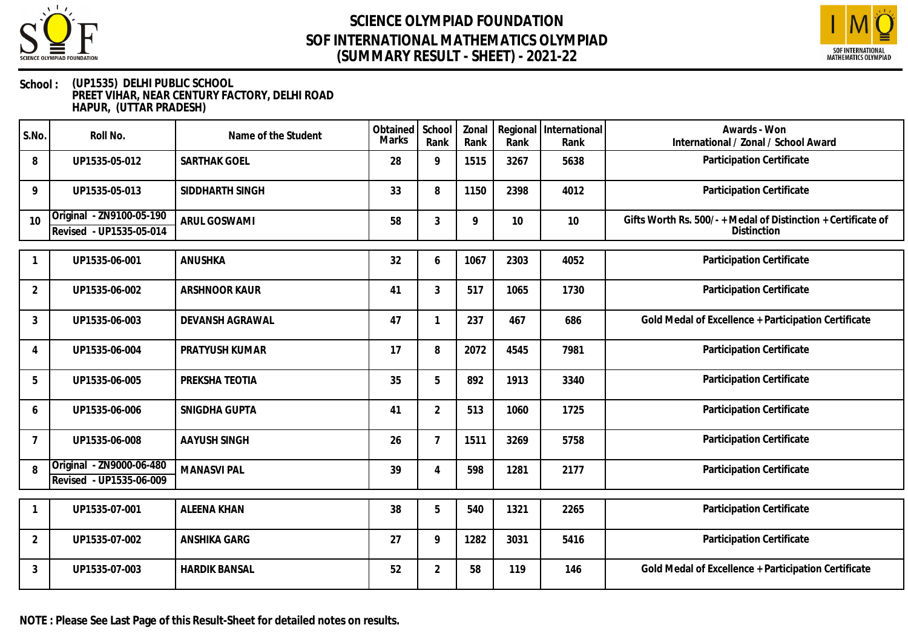



#### **School : (UP1535) DELHI PUBLIC SCHOOL PREET VIHAR, NEAR CENTURY FACTORY, DELHI ROAD HAPUR, (UTTAR PRADESH)**

| S.No.          | Roll No.                                            | Name of the Student  | Obtained<br><b>Marks</b> | School<br>Rank | Zonal<br>Rank | Rank | Regional   International<br>Rank | Awards - Won<br>International / Zonal / School Award                         |
|----------------|-----------------------------------------------------|----------------------|--------------------------|----------------|---------------|------|----------------------------------|------------------------------------------------------------------------------|
| 8              | UP1535-05-012                                       | <b>SARTHAK GOEL</b>  | 28                       | 9              | 1515          | 3267 | 5638                             | Participation Certificate                                                    |
| 9              | UP1535-05-013                                       | SIDDHARTH SINGH      | 33                       | 8              | 1150          | 2398 | 4012                             | Participation Certificate                                                    |
| 10             | Original - ZN9100-05-190<br>Revised - UP1535-05-014 | <b>ARUL GOSWAMI</b>  | 58                       | 3              | 9             | 10   | 10                               | Gifts Worth Rs. 500/- + Medal of Distinction + Certificate of<br>Distinction |
|                | UP1535-06-001                                       | ANUSHKA              | 32                       | 6              | 1067          | 2303 | 4052                             | Participation Certificate                                                    |
| $\overline{2}$ | UP1535-06-002                                       | ARSHNOOR KAUR        | 41                       | 3              | 517           | 1065 | 1730                             | Participation Certificate                                                    |
| $\mathfrak{Z}$ | UP1535-06-003                                       | DEVANSH AGRAWAL      | 47                       |                | 237           | 467  | 686                              | Gold Medal of Excellence + Participation Certificate                         |
| $\overline{A}$ | UP1535-06-004                                       | PRATYUSH KUMAR       | 17                       | 8              | 2072          | 4545 | 7981                             | Participation Certificate                                                    |
| 5              | UP1535-06-005                                       | PREKSHA TEOTIA       | 35                       | 5              | 892           | 1913 | 3340                             | Participation Certificate                                                    |
| 6              | UP1535-06-006                                       | SNIGDHA GUPTA        | 41                       | $\overline{2}$ | 513           | 1060 | 1725                             | Participation Certificate                                                    |
| $\overline{7}$ | UP1535-06-008                                       | <b>AAYUSH SINGH</b>  | 26                       | $\overline{7}$ | 1511          | 3269 | 5758                             | Participation Certificate                                                    |
| 8              | Original - ZN9000-06-480<br>Revised - UP1535-06-009 | <b>MANASVI PAL</b>   | 39                       | $\overline{4}$ | 598           | 1281 | 2177                             | Participation Certificate                                                    |
| -1             | UP1535-07-001                                       | <b>ALEENA KHAN</b>   | 38                       | 5              | 540           | 1321 | 2265                             | Participation Certificate                                                    |
| $\overline{2}$ | UP1535-07-002                                       | ANSHIKA GARG         | 27                       | 9              | 1282          | 3031 | 5416                             | Participation Certificate                                                    |
| $\mathfrak{Z}$ | UP1535-07-003                                       | <b>HARDIK BANSAL</b> | 52                       | $\overline{2}$ | 58            | 119  | 146                              | Gold Medal of Excellence + Participation Certificate                         |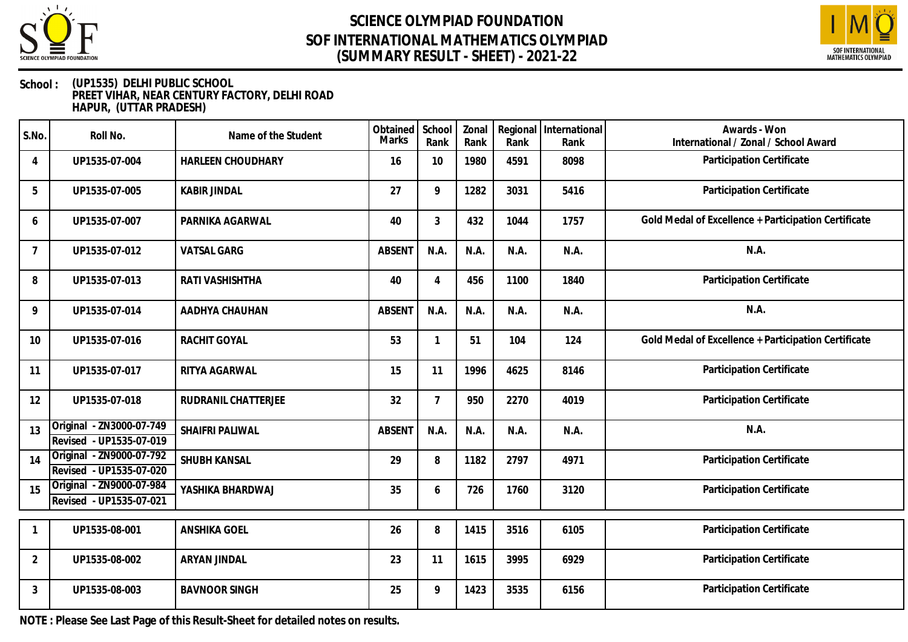



#### **School : (UP1535) DELHI PUBLIC SCHOOL PREET VIHAR, NEAR CENTURY FACTORY, DELHI ROAD HAPUR, (UTTAR PRADESH)**

| S.No.          | Roll No.                                            | Name of the Student    | Obtained<br><b>Marks</b> | School<br>Rank | Zonal<br>Rank | Regional<br>Rank | International<br>Rank | Awards - Won<br>International / Zonal / School Award |
|----------------|-----------------------------------------------------|------------------------|--------------------------|----------------|---------------|------------------|-----------------------|------------------------------------------------------|
| $\overline{4}$ | UP1535-07-004                                       | HARLEEN CHOUDHARY      | 16                       | 10             | 1980          | 4591             | 8098                  | Participation Certificate                            |
| 5              | UP1535-07-005                                       | <b>KABIR JINDAL</b>    | 27                       | 9              | 1282          | 3031             | 5416                  | Participation Certificate                            |
| 6              | UP1535-07-007                                       | PARNIKA AGARWAL        | 40                       | $\overline{3}$ | 432           | 1044             | 1757                  | Gold Medal of Excellence + Participation Certificate |
| $\overline{7}$ | UP1535-07-012                                       | <b>VATSAL GARG</b>     | <b>ABSENT</b>            | N.A.           | N.A.          | N.A.             | N.A.                  | N.A.                                                 |
| 8              | UP1535-07-013                                       | RATI VASHISHTHA        | 40                       |                | 456           | 1100             | 1840                  | Participation Certificate                            |
| 9              | UP1535-07-014                                       | AADHYA CHAUHAN         | <b>ABSENT</b>            | N.A.           | N.A.          | N.A.             | N.A.                  | N.A.                                                 |
| 10             | UP1535-07-016                                       | <b>RACHIT GOYAL</b>    | 53                       |                | 51            | 104              | 124                   | Gold Medal of Excellence + Participation Certificate |
| 11             | UP1535-07-017                                       | RITYA AGARWAL          | 15                       | 11             | 1996          | 4625             | 8146                  | Participation Certificate                            |
| 12             | UP1535-07-018                                       | RUDRANIL CHATTERJEE    | 32                       | $\overline{7}$ | 950           | 2270             | 4019                  | Participation Certificate                            |
| 13             | Original - ZN3000-07-749<br>Revised - UP1535-07-019 | <b>SHAIFRI PALIWAL</b> | <b>ABSENT</b>            | N.A.           | N.A.          | N.A.             | N.A.                  | N.A.                                                 |
| 14             | Original - ZN9000-07-792<br>Revised - UP1535-07-020 | SHUBH KANSAL           | 29                       | 8              | 1182          | 2797             | 4971                  | Participation Certificate                            |
| 15             | Original - ZN9000-07-984<br>Revised - UP1535-07-021 | YASHIKA BHARDWAJ       | 35                       | 6              | 726           | 1760             | 3120                  | Participation Certificate                            |
|                | UP1535-08-001                                       | <b>ANSHIKA GOEL</b>    | 26                       | 8              | 1415          | 3516             | 6105                  | Participation Certificate                            |
| $\overline{2}$ | UP1535-08-002                                       | ARYAN JINDAL           | 23                       | 11             | 1615          | 3995             | 6929                  | Participation Certificate                            |
| 3              | UP1535-08-003                                       | <b>BAVNOOR SINGH</b>   | 25                       | 9              | 1423          | 3535             | 6156                  | Participation Certificate                            |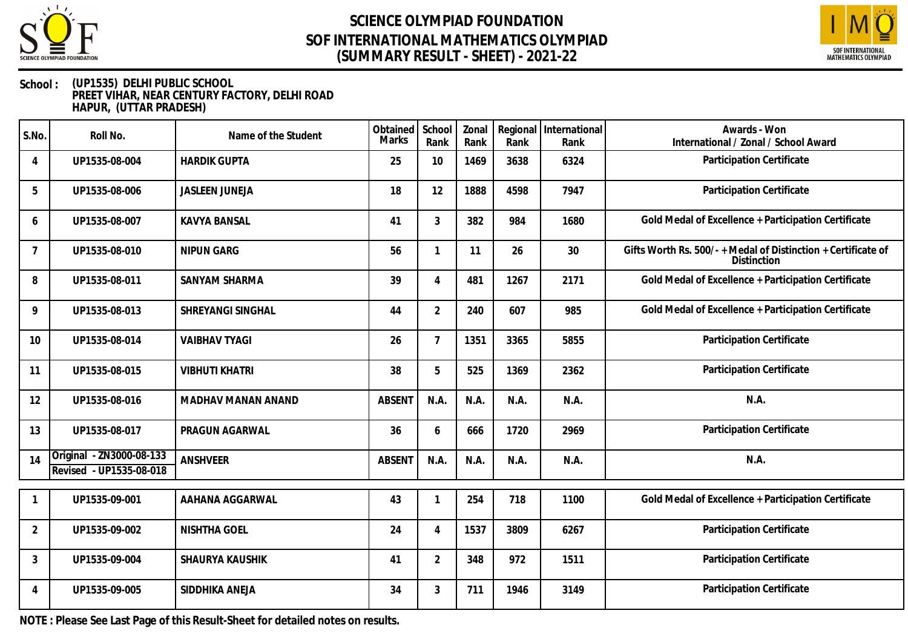



#### **School : (UP1535) DELHI PUBLIC SCHOOL PREET VIHAR, NEAR CENTURY FACTORY, DELHI ROAD HAPUR, (UTTAR PRADESH)**

| S.No.          | Roll No.                                            | Name of the Student   | Obtained<br><b>Marks</b> | School<br>Rank           | Zonal<br>Rank | Regional<br>Rank | International<br>Rank | Awards - Won<br>International / Zonal / School Award                         |
|----------------|-----------------------------------------------------|-----------------------|--------------------------|--------------------------|---------------|------------------|-----------------------|------------------------------------------------------------------------------|
| $\overline{4}$ | UP1535-08-004                                       | <b>HARDIK GUPTA</b>   | 25                       | 10                       | 1469          | 3638             | 6324                  | Participation Certificate                                                    |
| 5              | UP1535-08-006                                       | <b>JASLEEN JUNEJA</b> | 18                       | 12                       | 1888          | 4598             | 7947                  | Participation Certificate                                                    |
| 6              | UP1535-08-007                                       | <b>KAVYA BANSAL</b>   | 41                       | $\mathfrak{Z}$           | 382           | 984              | 1680                  | Gold Medal of Excellence + Participation Certificate                         |
| $\overline{7}$ | UP1535-08-010                                       | NIPUN GARG            | 56                       |                          | 11            | 26               | 30                    | Gifts Worth Rs. 500/- + Medal of Distinction + Certificate of<br>Distinction |
| 8              | UP1535-08-011                                       | SANYAM SHARMA         | 39                       | $\boldsymbol{\varDelta}$ | 481           | 1267             | 2171                  | Gold Medal of Excellence + Participation Certificate                         |
| 9              | UP1535-08-013                                       | SHREYANGI SINGHAL     | 44                       | $\overline{2}$           | 240           | 607              | 985                   | Gold Medal of Excellence + Participation Certificate                         |
| 10             | UP1535-08-014                                       | <b>VAIBHAV TYAGI</b>  | 26                       | $\overline{7}$           | 1351          | 3365             | 5855                  | Participation Certificate                                                    |
| 11             | UP1535-08-015                                       | <b>VIBHUTI KHATRI</b> | 38                       | 5                        | 525           | 1369             | 2362                  | Participation Certificate                                                    |
| 12             | UP1535-08-016                                       | MADHAV MANAN ANAND    | <b>ABSENT</b>            | N.A.                     | N.A.          | N.A.             | N.A.                  | N.A.                                                                         |
| 13             | UP1535-08-017                                       | PRAGUN AGARWAL        | 36                       | 6                        | 666           | 1720             | 2969                  | Participation Certificate                                                    |
| 14             | Original - ZN3000-08-133<br>Revised - UP1535-08-018 | ANSHVEER              | <b>ABSENT</b>            | N.A.                     | N.A.          | N.A.             | N.A.                  | N.A.                                                                         |
|                | UP1535-09-001                                       | AAHANA AGGARWAL       | 43                       |                          | 254           | 718              | 1100                  | Gold Medal of Excellence + Participation Certificate                         |
| $\overline{2}$ | UP1535-09-002                                       | <b>NISHTHA GOEL</b>   | 24                       | $\overline{4}$           | 1537          | 3809             | 6267                  | Participation Certificate                                                    |
| $\mathbf{3}$   | UP1535-09-004                                       | SHAURYA KAUSHIK       | 41                       | $\overline{2}$           | 348           | 972              | 1511                  | Participation Certificate                                                    |
| 4              | UP1535-09-005                                       | SIDDHIKA ANEJA        | 34                       | 3                        | 711           | 1946             | 3149                  | Participation Certificate                                                    |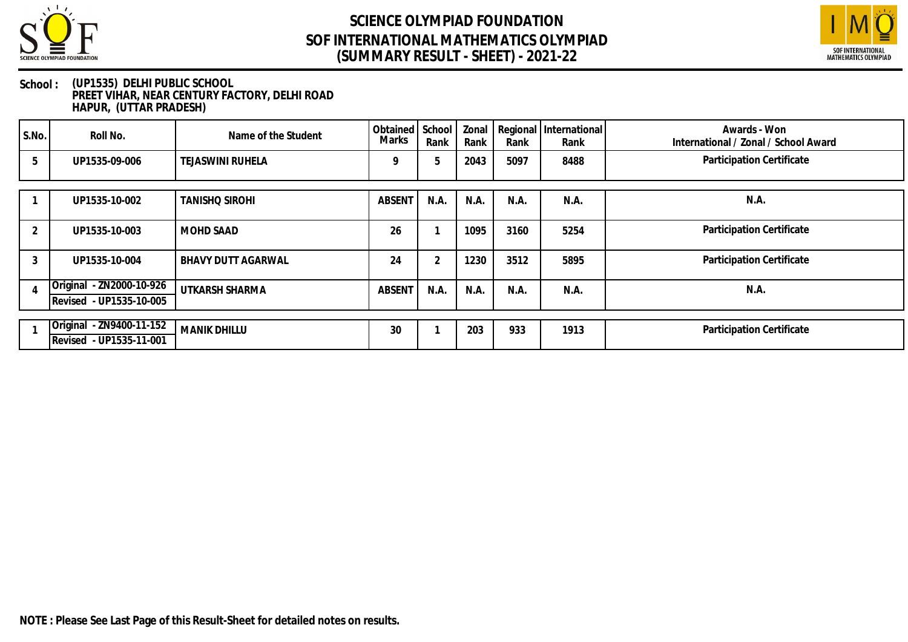



#### **School : (UP1535) DELHI PUBLIC SCHOOL PREET VIHAR, NEAR CENTURY FACTORY, DELHI ROAD HAPUR, (UTTAR PRADESH)**

| S.No. | Roll No.                                            | Name of the Student       | Obtained<br>Marks | School<br>Rank | Zonal<br>Rank | Rank | Regional International<br>Rank | Awards - Won<br>International / Zonal / School Award |
|-------|-----------------------------------------------------|---------------------------|-------------------|----------------|---------------|------|--------------------------------|------------------------------------------------------|
| 5     | UP1535-09-006                                       | TEJASWINI RUHELA          | Q                 | 5              | 2043          | 5097 | 8488                           | Participation Certificate                            |
|       | UP1535-10-002                                       | <b>TANISHO SIROHI</b>     | <b>ABSENT</b>     | N.A.           | N.A.          | N.A. | N.A.                           | N.A.                                                 |
| 2     | UP1535-10-003                                       | <b>MOHD SAAD</b>          | 26                |                | 1095          | 3160 | 5254                           | Participation Certificate                            |
| 3     | UP1535-10-004                                       | <b>BHAVY DUTT AGARWAL</b> | 24                | $\mathcal{P}$  | 1230          | 3512 | 5895                           | Participation Certificate                            |
|       | Original - ZN2000-10-926<br>Revised - UP1535-10-005 | UTKARSH SHARMA            | <b>ABSENT</b>     | N.A.           | N.A.          | N.A. | N.A.                           | N.A.                                                 |
|       | Original - ZN9400-11-152<br>Revised - UP1535-11-001 | <b>MANIK DHILLU</b>       | 30                |                | 203           | 933  | 1913                           | Participation Certificate                            |